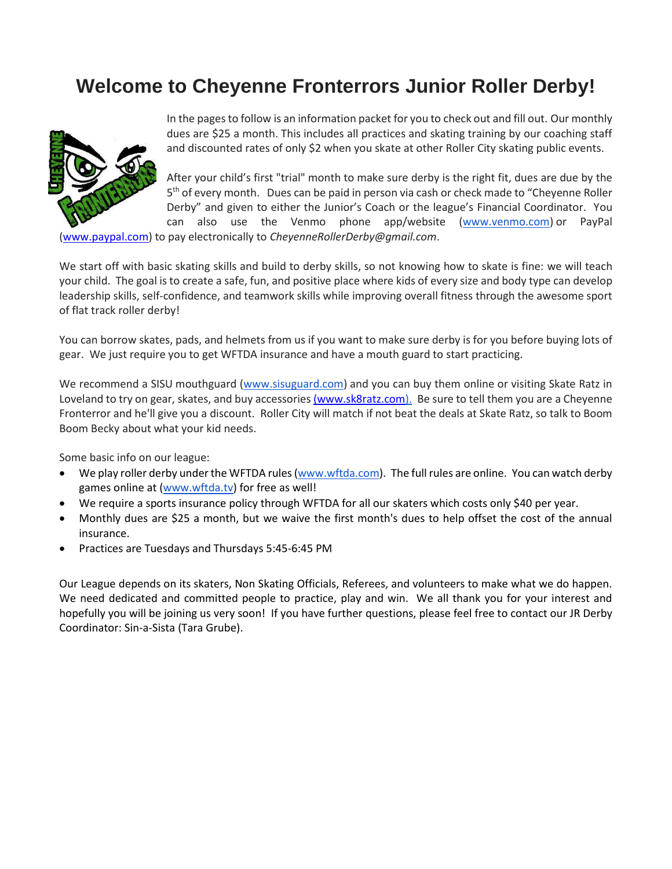## **Welcome to Cheyenne Fronterrors Junior Roller Derby!**



In the pages to follow is an information packet for you to check out and fill out. Our monthly dues are \$25 a month. This includes all practices and skating training by our coaching staff and discounted rates of only \$2 when you skate at other Roller City skating public events.

After your child's first "trial" month to make sure derby is the right fit, dues are due by the 5<sup>th</sup> of every month. Dues can be paid in person via cash or check made to "Cheyenne Roller Derby" and given to either the Junior's Coach or the league's Financial Coordinator. You can also use the Venmo phone app/website [\(www.venmo.com\)](http://www.venmo.com/) or PayPal

[\(www.paypal.com\)](http://www.paypal.com/) to pay electronically to *CheyenneRollerDerby@gmail.com*.

We start off with basic skating skills and build to derby skills, so not knowing how to skate is fine: we will teach your child. The goal is to create a safe, fun, and positive place where kids of every size and body type can develop leadership skills, self-confidence, and teamwork skills while improving overall fitness through the awesome sport of flat track roller derby!

You can borrow skates, pads, and helmets from us if you want to make sure derby is for you before buying lots of gear. We just require you to get WFTDA insurance and have a mouth guard to start practicing.

We recommend a SISU mouthguard (www.sisuguard.com) and you can buy them online or visiting Skate Ratz in Loveland to try on gear, skates, and buy accessorie[s \(www.sk8ratz.com\)](http://(www.sk8ratz.com/). Be sure to tell them you are a Cheyenne Fronterror and he'll give you a discount. Roller City will match if not beat the deals at Skate Ratz, so talk to Boom Boom Becky about what your kid needs.

Some basic info on our league:

- We play roller derby under the WFTDA rules [\(www.wftda.com\)](http://www.wftda.com/). The full rules are online. You can watch derby games online at [\(www.wftda.tv\)](http://www.wftda.tv/) for free as well!
- We require a sports insurance policy through WFTDA for all our skaters which costs only \$40 per year.
- Monthly dues are \$25 a month, but we waive the first month's dues to help offset the cost of the annual insurance.
- Practices are Tuesdays and Thursdays 5:45-6:45 PM

Our League depends on its skaters, Non Skating Officials, Referees, and volunteers to make what we do happen. We need dedicated and committed people to practice, play and win. We all thank you for your interest and hopefully you will be joining us very soon! If you have further questions, please feel free to contact our JR Derby Coordinator: Sin-a-Sista (Tara Grube).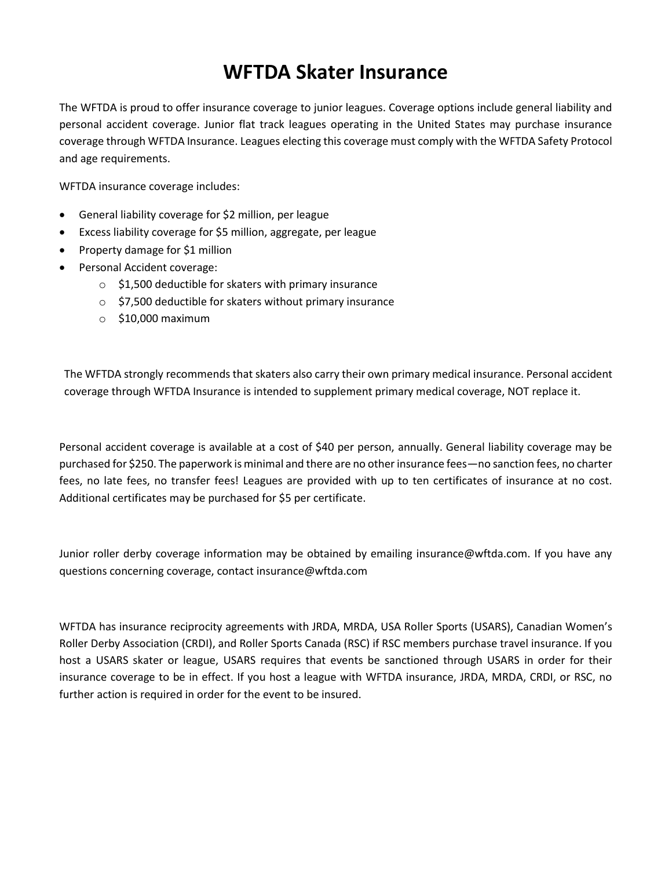## **WFTDA Skater Insurance**

The WFTDA is proud to offer insurance coverage to junior leagues. Coverage options include general liability and personal accident coverage. Junior flat track leagues operating in the United States may purchase insurance coverage through WFTDA Insurance. Leagues electing this coverage must comply with the WFTDA Safety Protocol and age requirements.

WFTDA insurance coverage includes:

- General liability coverage for \$2 million, per league
- Excess liability coverage for \$5 million, aggregate, per league
- Property damage for \$1 million
- Personal Accident coverage:
	- o \$1,500 deductible for skaters with primary insurance
	- o \$7,500 deductible for skaters without primary insurance
	- $\circ$  \$10,000 maximum

The WFTDA strongly recommends that skaters also carry their own primary medical insurance. Personal accident coverage through WFTDA Insurance is intended to supplement primary medical coverage, NOT replace it.

Personal accident coverage is available at a cost of \$40 per person, annually. General liability coverage may be purchased for \$250. The paperwork is minimal and there are no other insurance fees—no sanction fees, no charter fees, no late fees, no transfer fees! Leagues are provided with up to ten certificates of insurance at no cost. Additional certificates may be purchased for \$5 per certificate.

Junior roller derby coverage information may be obtained by emailing insurance@wftda.com. If you have any questions concerning coverage, contact insurance@wftda.com

WFTDA has insurance reciprocity agreements with JRDA, MRDA, USA Roller Sports (USARS), Canadian Women's Roller Derby Association (CRDI), and Roller Sports Canada (RSC) if RSC members purchase travel insurance. If you host a USARS skater or league, USARS requires that events be sanctioned through USARS in order for their insurance coverage to be in effect. If you host a league with WFTDA insurance, JRDA, MRDA, CRDI, or RSC, no further action is required in order for the event to be insured.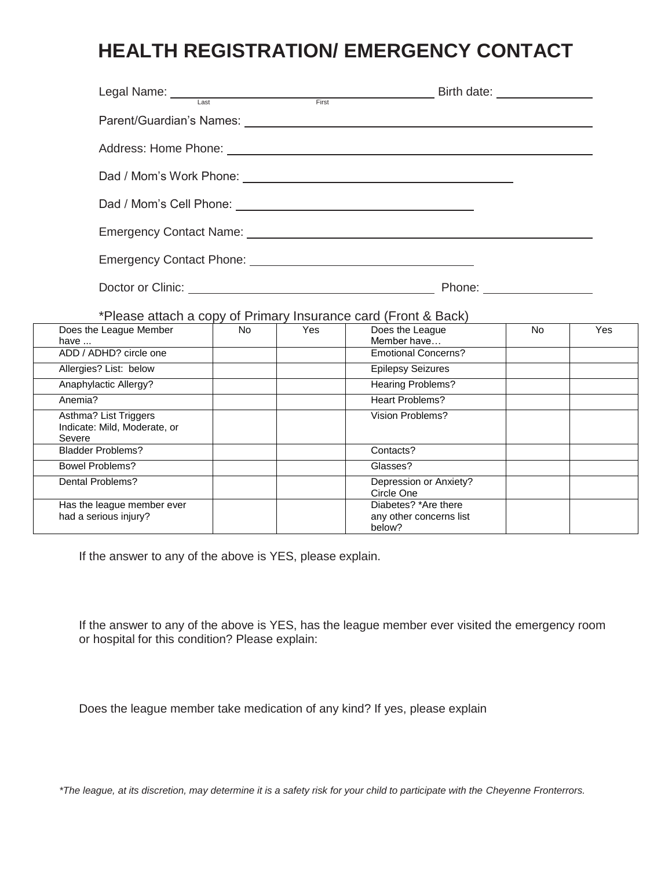# **HEALTH REGISTRATION/ EMERGENCY CONTACT**

| Legal Name: Last First First                                    |                                                                                                                                                                                                                                      |            | Birth date: <u>_______________</u>                                                                                                                                                                                             |           |     |
|-----------------------------------------------------------------|--------------------------------------------------------------------------------------------------------------------------------------------------------------------------------------------------------------------------------------|------------|--------------------------------------------------------------------------------------------------------------------------------------------------------------------------------------------------------------------------------|-----------|-----|
|                                                                 |                                                                                                                                                                                                                                      |            |                                                                                                                                                                                                                                |           |     |
|                                                                 |                                                                                                                                                                                                                                      |            | Address: Home Phone: Letter and the state of the state of the state of the state of the state of the state of the state of the state of the state of the state of the state of the state of the state of the state of the stat |           |     |
|                                                                 |                                                                                                                                                                                                                                      |            |                                                                                                                                                                                                                                |           |     |
|                                                                 |                                                                                                                                                                                                                                      |            |                                                                                                                                                                                                                                |           |     |
|                                                                 |                                                                                                                                                                                                                                      |            |                                                                                                                                                                                                                                |           |     |
|                                                                 |                                                                                                                                                                                                                                      |            |                                                                                                                                                                                                                                |           |     |
|                                                                 | Doctor or Clinic: <u>New York: New York: New York: New York: New York: New York: New York: New York: New York: New York: New York: New York: New York: New York: New York: New York: New York: New York: New York: New York: New</u> |            |                                                                                                                                                                                                                                |           |     |
|                                                                 |                                                                                                                                                                                                                                      |            | *Please attach a copy of Primary Insurance card (Front & Back)                                                                                                                                                                 |           |     |
| Does the League Member<br>have                                  | <b>No</b>                                                                                                                                                                                                                            | <b>Yes</b> | Does the League<br>Member have                                                                                                                                                                                                 | <b>No</b> | Yes |
| ADD / ADHD? circle one                                          |                                                                                                                                                                                                                                      |            | <b>Emotional Concerns?</b>                                                                                                                                                                                                     |           |     |
| Allergies? List: below                                          |                                                                                                                                                                                                                                      |            | <b>Epilepsy Seizures</b>                                                                                                                                                                                                       |           |     |
| Anaphylactic Allergy?                                           |                                                                                                                                                                                                                                      |            | <b>Hearing Problems?</b>                                                                                                                                                                                                       |           |     |
| Anemia?                                                         |                                                                                                                                                                                                                                      |            | <b>Heart Problems?</b>                                                                                                                                                                                                         |           |     |
| Asthma? List Triggers<br>Indicate: Mild, Moderate, or<br>Severe |                                                                                                                                                                                                                                      |            | Vision Problems?                                                                                                                                                                                                               |           |     |
| <b>Bladder Problems?</b>                                        |                                                                                                                                                                                                                                      |            | Contacts?                                                                                                                                                                                                                      |           |     |
| <b>Bowel Problems?</b>                                          |                                                                                                                                                                                                                                      |            | Glasses?                                                                                                                                                                                                                       |           |     |
| Dental Problems?                                                |                                                                                                                                                                                                                                      |            | Depression or Anxiety?<br>Circle One                                                                                                                                                                                           |           |     |
| Has the league member ever<br>had a serious injury?             |                                                                                                                                                                                                                                      |            | Diabetes? *Are there<br>any other concerns list<br>below?                                                                                                                                                                      |           |     |

If the answer to any of the above is YES, please explain.

If the answer to any of the above is YES, has the league member ever visited the emergency room or hospital for this condition? Please explain:

Does the league member take medication of any kind? If yes, please explain

*\*The league, at its discretion, may determine it is a safety risk for your child to participate with the Cheyenne Fronterrors.*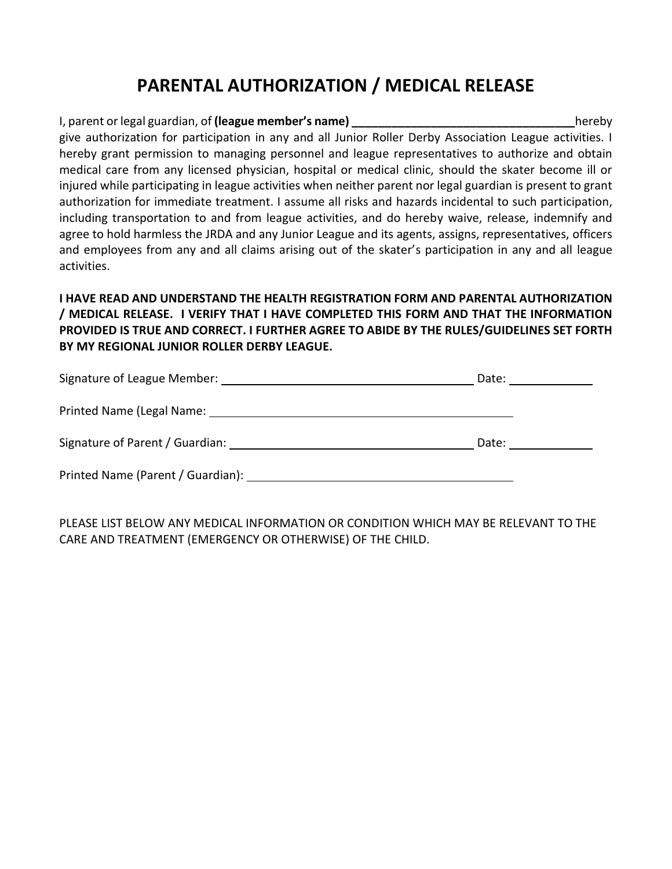### **PARENTAL AUTHORIZATION / MEDICAL RELEASE**

#### I, parent or legal guardian, of **(league member's name) \_\_\_\_\_\_\_\_\_\_\_\_\_\_\_\_\_\_\_\_\_\_\_\_\_\_\_\_\_\_\_\_\_\_**hereby give authorization for participation in any and all Junior Roller Derby Association League activities. I hereby grant permission to managing personnel and league representatives to authorize and obtain medical care from any licensed physician, hospital or medical clinic, should the skater become ill or injured while participating in league activities when neither parent nor legal guardian is present to grant authorization for immediate treatment. I assume all risks and hazards incidental to such participation, including transportation to and from league activities, and do hereby waive, release, indemnify and agree to hold harmless the JRDA and any Junior League and its agents, assigns, representatives, officers and employees from any and all claims arising out of the skater's participation in any and all league activities.

#### **I HAVE READ AND UNDERSTAND THE HEALTH REGISTRATION FORM AND PARENTAL AUTHORIZATION / MEDICAL RELEASE. I VERIFY THAT I HAVE COMPLETED THIS FORM AND THAT THE INFORMATION PROVIDED IS TRUE AND CORRECT. I FURTHER AGREE TO ABIDE BY THE RULES/GUIDELINES SET FORTH BY MY REGIONAL JUNIOR ROLLER DERBY LEAGUE.**

| Signature of League Member:                                                                                    | Date: |
|----------------------------------------------------------------------------------------------------------------|-------|
|                                                                                                                |       |
| Signature of Parent / Guardian: Note that the state of Parent Superior and Superior Superior Superior Superior | Date: |
|                                                                                                                |       |

PLEASE LIST BELOW ANY MEDICAL INFORMATION OR CONDITION WHICH MAY BE RELEVANT TO THE CARE AND TREATMENT (EMERGENCY OR OTHERWISE) OF THE CHILD.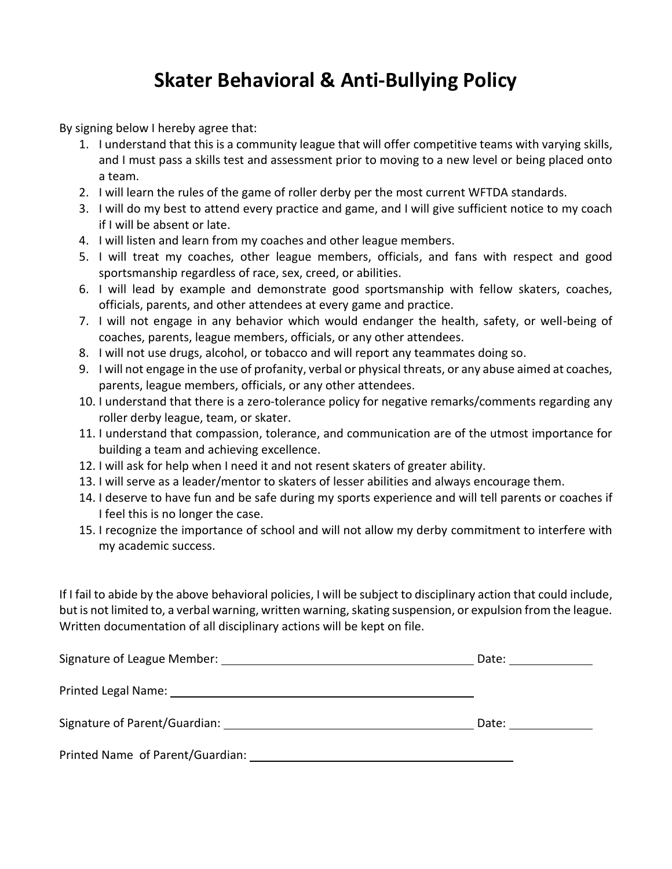## **Skater Behavioral & Anti-Bullying Policy**

By signing below I hereby agree that:

- 1. I understand that this is a community league that will offer competitive teams with varying skills, and I must pass a skills test and assessment prior to moving to a new level or being placed onto a team.
- 2. I will learn the rules of the game of roller derby per the most current WFTDA standards.
- 3. I will do my best to attend every practice and game, and I will give sufficient notice to my coach if I will be absent or late.
- 4. I will listen and learn from my coaches and other league members.
- 5. I will treat my coaches, other league members, officials, and fans with respect and good sportsmanship regardless of race, sex, creed, or abilities.
- 6. I will lead by example and demonstrate good sportsmanship with fellow skaters, coaches, officials, parents, and other attendees at every game and practice.
- 7. I will not engage in any behavior which would endanger the health, safety, or well-being of coaches, parents, league members, officials, or any other attendees.
- 8. I will not use drugs, alcohol, or tobacco and will report any teammates doing so.
- 9. I will not engage in the use of profanity, verbal or physical threats, or any abuse aimed at coaches, parents, league members, officials, or any other attendees.
- 10. I understand that there is a zero-tolerance policy for negative remarks/comments regarding any roller derby league, team, or skater.
- 11. I understand that compassion, tolerance, and communication are of the utmost importance for building a team and achieving excellence.
- 12. I will ask for help when I need it and not resent skaters of greater ability.
- 13. I will serve as a leader/mentor to skaters of lesser abilities and always encourage them.
- 14. I deserve to have fun and be safe during my sports experience and will tell parents or coaches if I feel this is no longer the case.
- 15. I recognize the importance of school and will not allow my derby commitment to interfere with my academic success.

If I fail to abide by the above behavioral policies, I will be subject to disciplinary action that could include, but is not limited to, a verbal warning, written warning, skating suspension, or expulsion from the league. Written documentation of all disciplinary actions will be kept on file.

|                                  | Date: |
|----------------------------------|-------|
|                                  |       |
|                                  | Date: |
| Printed Name of Parent/Guardian: |       |